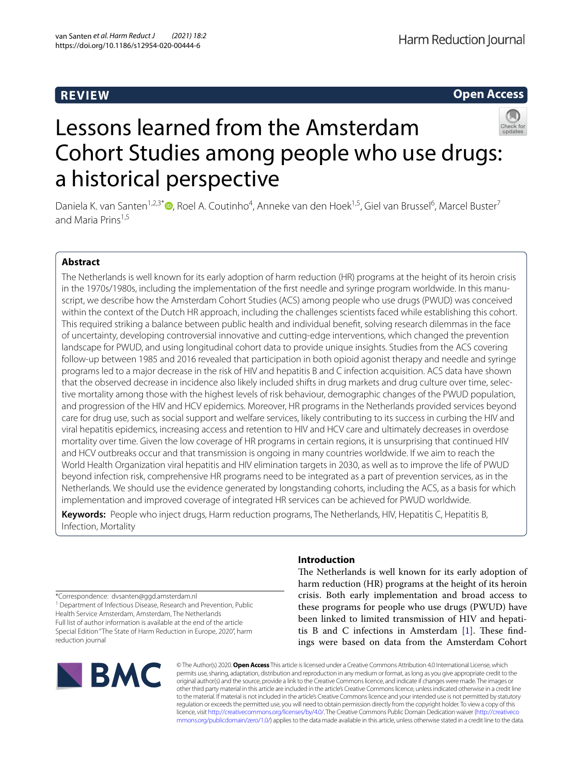## **REVIEW**

**Open Access**



# Lessons learned from the Amsterdam Cohort Studies among people who use drugs: a historical perspective

Daniela K. van Santen<sup>1,2,3\*</sup> <sup>(D</sup>[,](http://orcid.org/0000-0002-9890-4694) Roel A. Coutinho<sup>4</sup>, Anneke van den Hoek<sup>1,5</sup>, Giel van Brussel<sup>6</sup>, Marcel Buster<sup>7</sup> and Maria Prins<sup>1,5</sup>

### **Abstract**

The Netherlands is well known for its early adoption of harm reduction (HR) programs at the height of its heroin crisis in the 1970s/1980s, including the implementation of the frst needle and syringe program worldwide. In this manuscript, we describe how the Amsterdam Cohort Studies (ACS) among people who use drugs (PWUD) was conceived within the context of the Dutch HR approach, including the challenges scientists faced while establishing this cohort. This required striking a balance between public health and individual beneft, solving research dilemmas in the face of uncertainty, developing controversial innovative and cutting-edge interventions, which changed the prevention landscape for PWUD, and using longitudinal cohort data to provide unique insights. Studies from the ACS covering follow-up between 1985 and 2016 revealed that participation in both opioid agonist therapy and needle and syringe programs led to a major decrease in the risk of HIV and hepatitis B and C infection acquisition. ACS data have shown that the observed decrease in incidence also likely included shifts in drug markets and drug culture over time, selective mortality among those with the highest levels of risk behaviour, demographic changes of the PWUD population, and progression of the HIV and HCV epidemics. Moreover, HR programs in the Netherlands provided services beyond care for drug use, such as social support and welfare services, likely contributing to its success in curbing the HIV and viral hepatitis epidemics, increasing access and retention to HIV and HCV care and ultimately decreases in overdose mortality over time. Given the low coverage of HR programs in certain regions, it is unsurprising that continued HIV and HCV outbreaks occur and that transmission is ongoing in many countries worldwide. If we aim to reach the World Health Organization viral hepatitis and HIV elimination targets in 2030, as well as to improve the life of PWUD beyond infection risk, comprehensive HR programs need to be integrated as a part of prevention services, as in the Netherlands. We should use the evidence generated by longstanding cohorts, including the ACS, as a basis for which implementation and improved coverage of integrated HR services can be achieved for PWUD worldwide.

**Keywords:** People who inject drugs, Harm reduction programs, The Netherlands, HIV, Hepatitis C, Hepatitis B, Infection, Mortality

**Introduction**

The Netherlands is well known for its early adoption of harm reduction (HR) programs at the height of its heroin crisis. Both early implementation and broad access to these programs for people who use drugs (PWUD) have been linked to limited transmission of HIV and hepatitis B and C infections in Amsterdam  $[1]$  $[1]$ . These findings were based on data from the Amsterdam Cohort

\*Correspondence: dvsanten@ggd.amsterdam.nl

<sup>1</sup> Department of Infectious Disease, Research and Prevention, Public Health Service Amsterdam, Amsterdam, The Netherlands Full list of author information is available at the end of the article Special Edition "The State of Harm Reduction in Europe, 2020", harm reduction journal



© The Author(s) 2020. **Open Access** This article is licensed under a Creative Commons Attribution 4.0 International License, which permits use, sharing, adaptation, distribution and reproduction in any medium or format, as long as you give appropriate credit to the original author(s) and the source, provide a link to the Creative Commons licence, and indicate if changes were made. The images or other third party material in this article are included in the article's Creative Commons licence, unless indicated otherwise in a credit line to the material. If material is not included in the article's Creative Commons licence and your intended use is not permitted by statutory regulation or exceeds the permitted use, you will need to obtain permission directly from the copyright holder. To view a copy of this licence, visit [http://creativecommons.org/licenses/by/4.0/.](http://creativecommons.org/licenses/by/4.0/) The Creative Commons Public Domain Dedication waiver ([http://creativeco](http://creativecommons.org/publicdomain/zero/1.0/) [mmons.org/publicdomain/zero/1.0/](http://creativecommons.org/publicdomain/zero/1.0/)) applies to the data made available in this article, unless otherwise stated in a credit line to the data.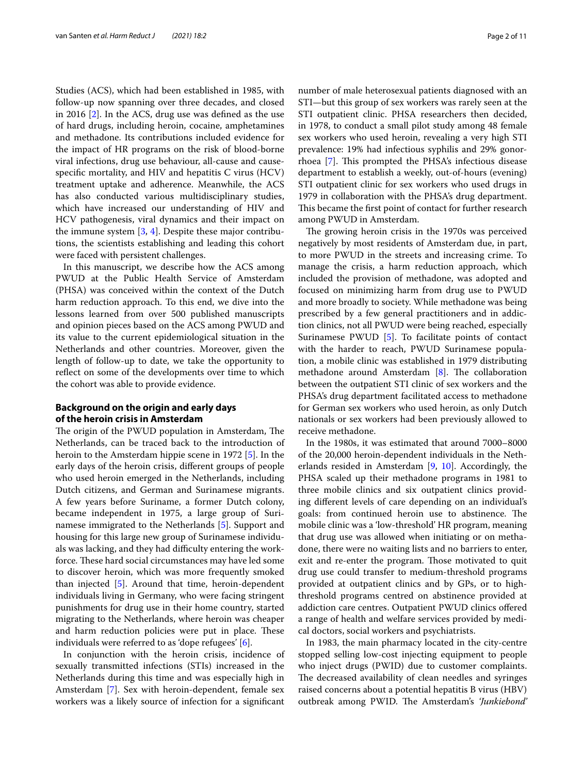Studies (ACS), which had been established in 1985, with follow-up now spanning over three decades, and closed in 2016 [[2\]](#page-9-1). In the ACS, drug use was defned as the use of hard drugs, including heroin, cocaine, amphetamines and methadone. Its contributions included evidence for the impact of HR programs on the risk of blood-borne viral infections, drug use behaviour, all-cause and causespecifc mortality, and HIV and hepatitis C virus (HCV) treatment uptake and adherence. Meanwhile, the ACS has also conducted various multidisciplinary studies, which have increased our understanding of HIV and HCV pathogenesis, viral dynamics and their impact on the immune system  $[3, 4]$  $[3, 4]$  $[3, 4]$  $[3, 4]$ . Despite these major contributions, the scientists establishing and leading this cohort were faced with persistent challenges.

In this manuscript, we describe how the ACS among PWUD at the Public Health Service of Amsterdam (PHSA) was conceived within the context of the Dutch harm reduction approach. To this end, we dive into the lessons learned from over 500 published manuscripts and opinion pieces based on the ACS among PWUD and its value to the current epidemiological situation in the Netherlands and other countries. Moreover, given the length of follow-up to date, we take the opportunity to refect on some of the developments over time to which the cohort was able to provide evidence.

#### **Background on the origin and early days of the heroin crisis in Amsterdam**

The origin of the PWUD population in Amsterdam, The Netherlands, can be traced back to the introduction of heroin to the Amsterdam hippie scene in 1972 [\[5](#page-9-4)]. In the early days of the heroin crisis, diferent groups of people who used heroin emerged in the Netherlands, including Dutch citizens, and German and Surinamese migrants. A few years before Suriname, a former Dutch colony, became independent in 1975, a large group of Surinamese immigrated to the Netherlands [[5\]](#page-9-4). Support and housing for this large new group of Surinamese individuals was lacking, and they had difficulty entering the workforce. These hard social circumstances may have led some to discover heroin, which was more frequently smoked than injected [[5\]](#page-9-4). Around that time, heroin-dependent individuals living in Germany, who were facing stringent punishments for drug use in their home country, started migrating to the Netherlands, where heroin was cheaper and harm reduction policies were put in place. These individuals were referred to as 'dope refugees' [[6\]](#page-9-5).

In conjunction with the heroin crisis, incidence of sexually transmitted infections (STIs) increased in the Netherlands during this time and was especially high in Amsterdam [\[7](#page-9-6)]. Sex with heroin-dependent, female sex workers was a likely source of infection for a signifcant number of male heterosexual patients diagnosed with an STI—but this group of sex workers was rarely seen at the STI outpatient clinic. PHSA researchers then decided, in 1978, to conduct a small pilot study among 48 female sex workers who used heroin, revealing a very high STI prevalence: 19% had infectious syphilis and 29% gonor-rhoea [\[7](#page-9-6)]. This prompted the PHSA's infectious disease department to establish a weekly, out-of-hours (evening) STI outpatient clinic for sex workers who used drugs in 1979 in collaboration with the PHSA's drug department. This became the first point of contact for further research among PWUD in Amsterdam.

The growing heroin crisis in the 1970s was perceived negatively by most residents of Amsterdam due, in part, to more PWUD in the streets and increasing crime. To manage the crisis, a harm reduction approach, which included the provision of methadone, was adopted and focused on minimizing harm from drug use to PWUD and more broadly to society. While methadone was being prescribed by a few general practitioners and in addiction clinics, not all PWUD were being reached, especially Surinamese PWUD [\[5](#page-9-4)]. To facilitate points of contact with the harder to reach, PWUD Surinamese population, a mobile clinic was established in 1979 distributing methadone around Amsterdam  $[8]$  $[8]$ . The collaboration between the outpatient STI clinic of sex workers and the PHSA's drug department facilitated access to methadone for German sex workers who used heroin, as only Dutch nationals or sex workers had been previously allowed to receive methadone.

In the 1980s, it was estimated that around 7000–8000 of the 20,000 heroin-dependent individuals in the Netherlands resided in Amsterdam [[9,](#page-9-8) [10\]](#page-9-9). Accordingly, the PHSA scaled up their methadone programs in 1981 to three mobile clinics and six outpatient clinics providing diferent levels of care depending on an individual's goals: from continued heroin use to abstinence. The mobile clinic was a 'low-threshold' HR program, meaning that drug use was allowed when initiating or on methadone, there were no waiting lists and no barriers to enter, exit and re-enter the program. Those motivated to quit drug use could transfer to medium-threshold programs provided at outpatient clinics and by GPs, or to highthreshold programs centred on abstinence provided at addiction care centres. Outpatient PWUD clinics ofered a range of health and welfare services provided by medical doctors, social workers and psychiatrists.

In 1983, the main pharmacy located in the city-centre stopped selling low-cost injecting equipment to people who inject drugs (PWID) due to customer complaints. The decreased availability of clean needles and syringes raised concerns about a potential hepatitis B virus (HBV) outbreak among PWID. The Amsterdam's 'Junkiebond'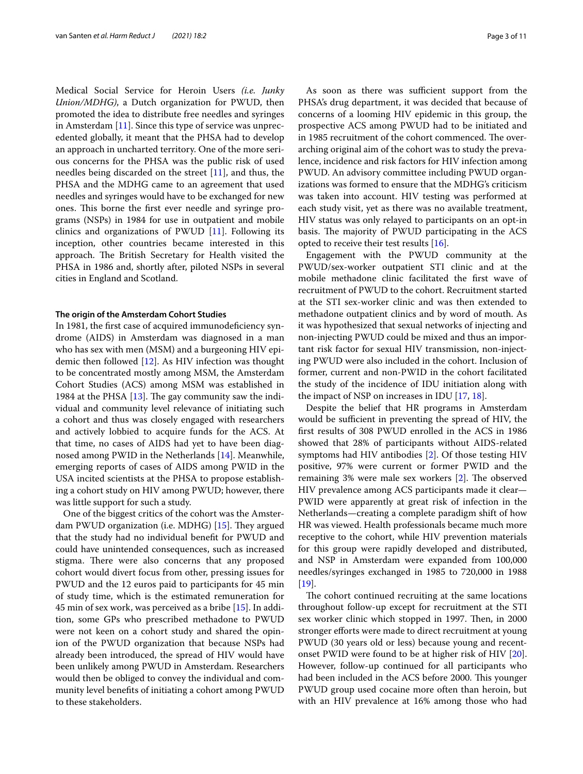Medical Social Service for Heroin Users *(i.e. Junky Union/MDHG)*, a Dutch organization for PWUD, then promoted the idea to distribute free needles and syringes in Amsterdam  $[11]$  $[11]$ . Since this type of service was unprecedented globally, it meant that the PHSA had to develop an approach in uncharted territory. One of the more serious concerns for the PHSA was the public risk of used needles being discarded on the street [[11\]](#page-9-10), and thus, the PHSA and the MDHG came to an agreement that used needles and syringes would have to be exchanged for new ones. This borne the first ever needle and syringe programs (NSPs) in 1984 for use in outpatient and mobile clinics and organizations of PWUD [[11](#page-9-10)]. Following its inception, other countries became interested in this approach. The British Secretary for Health visited the PHSA in 1986 and, shortly after, piloted NSPs in several cities in England and Scotland.

#### **The origin of the Amsterdam Cohort Studies**

In 1981, the frst case of acquired immunodefciency syndrome (AIDS) in Amsterdam was diagnosed in a man who has sex with men (MSM) and a burgeoning HIV epidemic then followed [\[12](#page-9-11)]. As HIV infection was thought to be concentrated mostly among MSM, the Amsterdam Cohort Studies (ACS) among MSM was established in 1984 at the PHSA  $[13]$  $[13]$ . The gay community saw the individual and community level relevance of initiating such a cohort and thus was closely engaged with researchers and actively lobbied to acquire funds for the ACS. At that time, no cases of AIDS had yet to have been diagnosed among PWID in the Netherlands [\[14\]](#page-9-13). Meanwhile, emerging reports of cases of AIDS among PWID in the USA incited scientists at the PHSA to propose establishing a cohort study on HIV among PWUD; however, there was little support for such a study.

One of the biggest critics of the cohort was the Amsterdam PWUD organization (i.e. MDHG)  $[15]$  $[15]$ . They argued that the study had no individual beneft for PWUD and could have unintended consequences, such as increased stigma. There were also concerns that any proposed cohort would divert focus from other, pressing issues for PWUD and the 12 euros paid to participants for 45 min of study time, which is the estimated remuneration for 45 min of sex work, was perceived as a bribe [[15\]](#page-9-14). In addition, some GPs who prescribed methadone to PWUD were not keen on a cohort study and shared the opinion of the PWUD organization that because NSPs had already been introduced, the spread of HIV would have been unlikely among PWUD in Amsterdam. Researchers would then be obliged to convey the individual and community level benefts of initiating a cohort among PWUD to these stakeholders.

As soon as there was sufficient support from the PHSA's drug department, it was decided that because of concerns of a looming HIV epidemic in this group, the prospective ACS among PWUD had to be initiated and in 1985 recruitment of the cohort commenced. The overarching original aim of the cohort was to study the prevalence, incidence and risk factors for HIV infection among PWUD. An advisory committee including PWUD organizations was formed to ensure that the MDHG's criticism was taken into account. HIV testing was performed at each study visit, yet as there was no available treatment, HIV status was only relayed to participants on an opt-in basis. The majority of PWUD participating in the ACS opted to receive their test results [[16](#page-9-15)].

Engagement with the PWUD community at the PWUD/sex-worker outpatient STI clinic and at the mobile methadone clinic facilitated the frst wave of recruitment of PWUD to the cohort. Recruitment started at the STI sex-worker clinic and was then extended to methadone outpatient clinics and by word of mouth. As it was hypothesized that sexual networks of injecting and non-injecting PWUD could be mixed and thus an important risk factor for sexual HIV transmission, non-injecting PWUD were also included in the cohort. Inclusion of former, current and non-PWID in the cohort facilitated the study of the incidence of IDU initiation along with the impact of NSP on increases in IDU [[17,](#page-9-16) [18](#page-9-17)].

Despite the belief that HR programs in Amsterdam would be sufficient in preventing the spread of HIV, the frst results of 308 PWUD enrolled in the ACS in 1986 showed that 28% of participants without AIDS-related symptoms had HIV antibodies [[2\]](#page-9-1). Of those testing HIV positive, 97% were current or former PWID and the remaining  $3\%$  were male sex workers  $[2]$  $[2]$ . The observed HIV prevalence among ACS participants made it clear— PWID were apparently at great risk of infection in the Netherlands—creating a complete paradigm shift of how HR was viewed. Health professionals became much more receptive to the cohort, while HIV prevention materials for this group were rapidly developed and distributed, and NSP in Amsterdam were expanded from 100,000 needles/syringes exchanged in 1985 to 720,000 in 1988 [[19\]](#page-9-18).

The cohort continued recruiting at the same locations throughout follow-up except for recruitment at the STI sex worker clinic which stopped in 1997. Then, in 2000 stronger eforts were made to direct recruitment at young PWUD (30 years old or less) because young and recentonset PWID were found to be at higher risk of HIV [\[20](#page-9-19)]. However, follow-up continued for all participants who had been included in the ACS before 2000. This younger PWUD group used cocaine more often than heroin, but with an HIV prevalence at 16% among those who had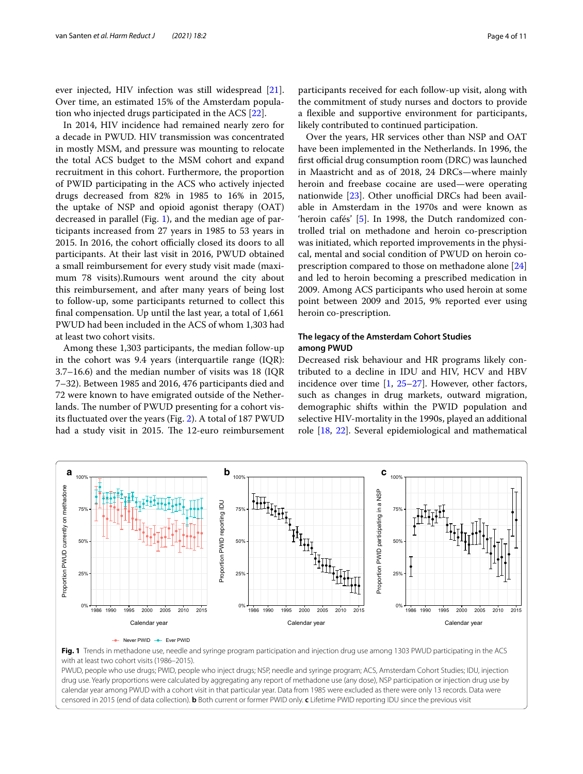ever injected, HIV infection was still widespread [\[21](#page-9-20)]. Over time, an estimated 15% of the Amsterdam population who injected drugs participated in the ACS [\[22](#page-9-21)].

In 2014, HIV incidence had remained nearly zero for a decade in PWUD. HIV transmission was concentrated in mostly MSM, and pressure was mounting to relocate the total ACS budget to the MSM cohort and expand recruitment in this cohort. Furthermore, the proportion of PWID participating in the ACS who actively injected drugs decreased from 82% in 1985 to 16% in 2015, the uptake of NSP and opioid agonist therapy (OAT) decreased in parallel (Fig. [1](#page-3-0)), and the median age of participants increased from 27 years in 1985 to 53 years in 2015. In 2016, the cohort officially closed its doors to all participants. At their last visit in 2016, PWUD obtained a small reimbursement for every study visit made (maximum 78 visits).Rumours went around the city about this reimbursement, and after many years of being lost to follow-up, some participants returned to collect this fnal compensation. Up until the last year, a total of 1,661 PWUD had been included in the ACS of whom 1,303 had at least two cohort visits.

Among these 1,303 participants, the median follow-up in the cohort was 9.4 years (interquartile range (IQR): 3.7–16.6) and the median number of visits was 18 (IQR 7–32). Between 1985 and 2016, 476 participants died and 72 were known to have emigrated outside of the Netherlands. The number of PWUD presenting for a cohort visits fuctuated over the years (Fig. [2\)](#page-4-0). A total of 187 PWUD had a study visit in 2015. The 12-euro reimbursement

participants received for each follow-up visit, along with the commitment of study nurses and doctors to provide a fexible and supportive environment for participants, likely contributed to continued participation.

Over the years, HR services other than NSP and OAT have been implemented in the Netherlands. In 1996, the first official drug consumption room (DRC) was launched in Maastricht and as of 2018, 24 DRCs—where mainly heroin and freebase cocaine are used—were operating nationwide  $[23]$  $[23]$ . Other unofficial DRCs had been available in Amsterdam in the 1970s and were known as 'heroin cafés' [[5\]](#page-9-4). In 1998, the Dutch randomized controlled trial on methadone and heroin co-prescription was initiated, which reported improvements in the physical, mental and social condition of PWUD on heroin coprescription compared to those on methadone alone [[24](#page-9-23)] and led to heroin becoming a prescribed medication in 2009. Among ACS participants who used heroin at some point between 2009 and 2015, 9% reported ever using heroin co-prescription.

#### **The legacy of the Amsterdam Cohort Studies among PWUD**

Decreased risk behaviour and HR programs likely contributed to a decline in IDU and HIV, HCV and HBV incidence over time [[1,](#page-9-0) [25](#page-9-24)[–27](#page-10-0)]. However, other factors, such as changes in drug markets, outward migration, demographic shifts within the PWID population and selective HIV-mortality in the 1990s, played an additional role [\[18](#page-9-17), [22](#page-9-21)]. Several epidemiological and mathematical



<span id="page-3-0"></span>

PWUD, people who use drugs; PWID, people who inject drugs; NSP, needle and syringe program; ACS, Amsterdam Cohort Studies; IDU, injection drug use. Yearly proportions were calculated by aggregating any report of methadone use (any dose), NSP participation or injection drug use by calendar year among PWUD with a cohort visit in that particular year. Data from 1985 were excluded as there were only 13 records. Data were censored in 2015 (end of data collection). **b** Both current or former PWID only. **c** Lifetime PWID reporting IDU since the previous visit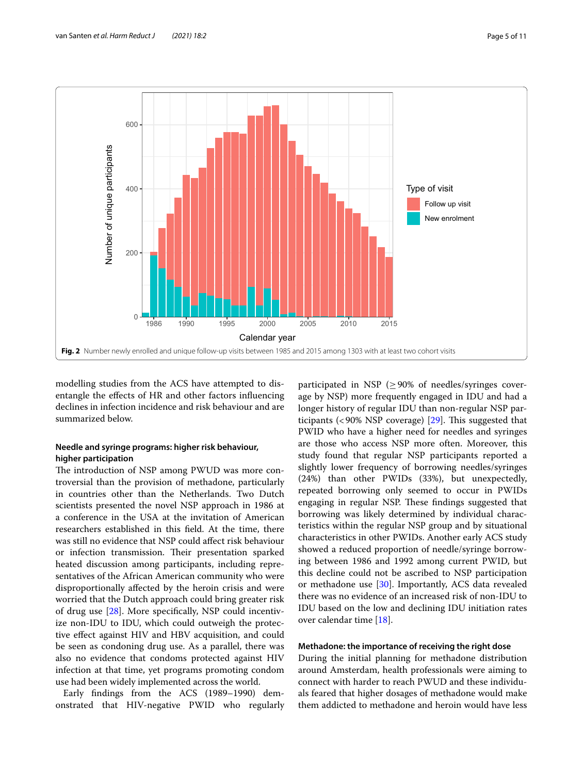

<span id="page-4-0"></span>modelling studies from the ACS have attempted to disentangle the efects of HR and other factors infuencing declines in infection incidence and risk behaviour and are summarized below.

#### **Needle and syringe programs: higher risk behaviour, higher participation**

The introduction of NSP among PWUD was more controversial than the provision of methadone, particularly in countries other than the Netherlands. Two Dutch scientists presented the novel NSP approach in 1986 at a conference in the USA at the invitation of American researchers established in this feld. At the time, there was still no evidence that NSP could afect risk behaviour or infection transmission. Their presentation sparked heated discussion among participants, including representatives of the African American community who were disproportionally afected by the heroin crisis and were worried that the Dutch approach could bring greater risk of drug use [\[28](#page-10-1)]. More specifcally, NSP could incentivize non-IDU to IDU, which could outweigh the protective efect against HIV and HBV acquisition, and could be seen as condoning drug use. As a parallel, there was also no evidence that condoms protected against HIV infection at that time, yet programs promoting condom use had been widely implemented across the world.

Early fndings from the ACS (1989–1990) demonstrated that HIV-negative PWID who regularly

participated in NSP ( $\geq$  90% of needles/syringes coverage by NSP) more frequently engaged in IDU and had a longer history of regular IDU than non-regular NSP participants (<90% NSP coverage)  $[29]$  $[29]$ . This suggested that PWID who have a higher need for needles and syringes are those who access NSP more often. Moreover, this study found that regular NSP participants reported a slightly lower frequency of borrowing needles/syringes (24%) than other PWIDs (33%), but unexpectedly, repeated borrowing only seemed to occur in PWIDs engaging in regular NSP. These findings suggested that borrowing was likely determined by individual characteristics within the regular NSP group and by situational characteristics in other PWIDs. Another early ACS study showed a reduced proportion of needle/syringe borrowing between 1986 and 1992 among current PWID, but this decline could not be ascribed to NSP participation or methadone use [\[30](#page-10-3)]. Importantly, ACS data revealed there was no evidence of an increased risk of non-IDU to IDU based on the low and declining IDU initiation rates over calendar time [\[18](#page-9-17)].

#### **Methadone: the importance of receiving the right dose**

During the initial planning for methadone distribution around Amsterdam, health professionals were aiming to connect with harder to reach PWUD and these individuals feared that higher dosages of methadone would make them addicted to methadone and heroin would have less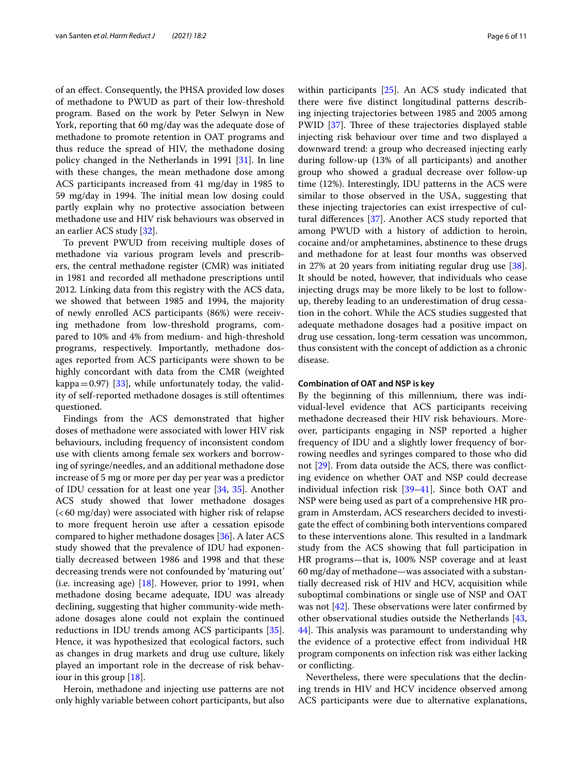of an efect. Consequently, the PHSA provided low doses of methadone to PWUD as part of their low-threshold program. Based on the work by Peter Selwyn in New York, reporting that 60 mg/day was the adequate dose of methadone to promote retention in OAT programs and thus reduce the spread of HIV, the methadone dosing policy changed in the Netherlands in 1991 [\[31\]](#page-10-4). In line with these changes, the mean methadone dose among ACS participants increased from 41 mg/day in 1985 to 59 mg/day in 1994. The initial mean low dosing could partly explain why no protective association between methadone use and HIV risk behaviours was observed in an earlier ACS study [[32\]](#page-10-5).

To prevent PWUD from receiving multiple doses of methadone via various program levels and prescribers, the central methadone register (CMR) was initiated in 1981 and recorded all methadone prescriptions until 2012. Linking data from this registry with the ACS data, we showed that between 1985 and 1994, the majority of newly enrolled ACS participants (86%) were receiving methadone from low-threshold programs, compared to 10% and 4% from medium- and high-threshold programs, respectively. Importantly, methadone dosages reported from ACS participants were shown to be highly concordant with data from the CMR (weighted kappa=0.97) [\[33](#page-10-6)], while unfortunately today, the validity of self-reported methadone dosages is still oftentimes questioned.

Findings from the ACS demonstrated that higher doses of methadone were associated with lower HIV risk behaviours, including frequency of inconsistent condom use with clients among female sex workers and borrowing of syringe/needles, and an additional methadone dose increase of 5 mg or more per day per year was a predictor of IDU cessation for at least one year [[34,](#page-10-7) [35](#page-10-8)]. Another ACS study showed that lower methadone dosages  $( $60 \, \text{mg/day}$ ) were associated with higher risk of relapse$ to more frequent heroin use after a cessation episode compared to higher methadone dosages [[36](#page-10-9)]. A later ACS study showed that the prevalence of IDU had exponentially decreased between 1986 and 1998 and that these decreasing trends were not confounded by 'maturing out' (i.e. increasing age)  $[18]$  $[18]$ . However, prior to 1991, when methadone dosing became adequate, IDU was already declining, suggesting that higher community-wide methadone dosages alone could not explain the continued reductions in IDU trends among ACS participants [\[35](#page-10-8)]. Hence, it was hypothesized that ecological factors, such as changes in drug markets and drug use culture, likely played an important role in the decrease of risk behaviour in this group [\[18](#page-9-17)].

Heroin, methadone and injecting use patterns are not only highly variable between cohort participants, but also within participants [[25](#page-9-24)]. An ACS study indicated that there were fve distinct longitudinal patterns describing injecting trajectories between 1985 and 2005 among PWID [\[37](#page-10-10)]. Three of these trajectories displayed stable injecting risk behaviour over time and two displayed a downward trend: a group who decreased injecting early during follow-up (13% of all participants) and another group who showed a gradual decrease over follow-up time (12%). Interestingly, IDU patterns in the ACS were similar to those observed in the USA, suggesting that these injecting trajectories can exist irrespective of cultural diferences [[37](#page-10-10)]. Another ACS study reported that among PWUD with a history of addiction to heroin, cocaine and/or amphetamines, abstinence to these drugs and methadone for at least four months was observed in 27% at 20 years from initiating regular drug use [\[38](#page-10-11)]. It should be noted, however, that individuals who cease injecting drugs may be more likely to be lost to followup, thereby leading to an underestimation of drug cessation in the cohort. While the ACS studies suggested that adequate methadone dosages had a positive impact on drug use cessation, long-term cessation was uncommon, thus consistent with the concept of addiction as a chronic disease.

#### **Combination of OAT and NSP is key**

By the beginning of this millennium, there was individual-level evidence that ACS participants receiving methadone decreased their HIV risk behaviours. Moreover, participants engaging in NSP reported a higher frequency of IDU and a slightly lower frequency of borrowing needles and syringes compared to those who did not [[29\]](#page-10-2). From data outside the ACS, there was conficting evidence on whether OAT and NSP could decrease individual infection risk [[39](#page-10-12)[–41](#page-10-13)]. Since both OAT and NSP were being used as part of a comprehensive HR program in Amsterdam, ACS researchers decided to investigate the efect of combining both interventions compared to these interventions alone. This resulted in a landmark study from the ACS showing that full participation in HR programs—that is, 100% NSP coverage and at least 60 mg/day of methadone—was associated with a substantially decreased risk of HIV and HCV, acquisition while suboptimal combinations or single use of NSP and OAT was not  $[42]$  $[42]$ . These observations were later confirmed by other observational studies outside the Netherlands [[43](#page-10-15), [44\]](#page-10-16). This analysis was paramount to understanding why the evidence of a protective efect from individual HR program components on infection risk was either lacking or conficting.

Nevertheless, there were speculations that the declining trends in HIV and HCV incidence observed among ACS participants were due to alternative explanations,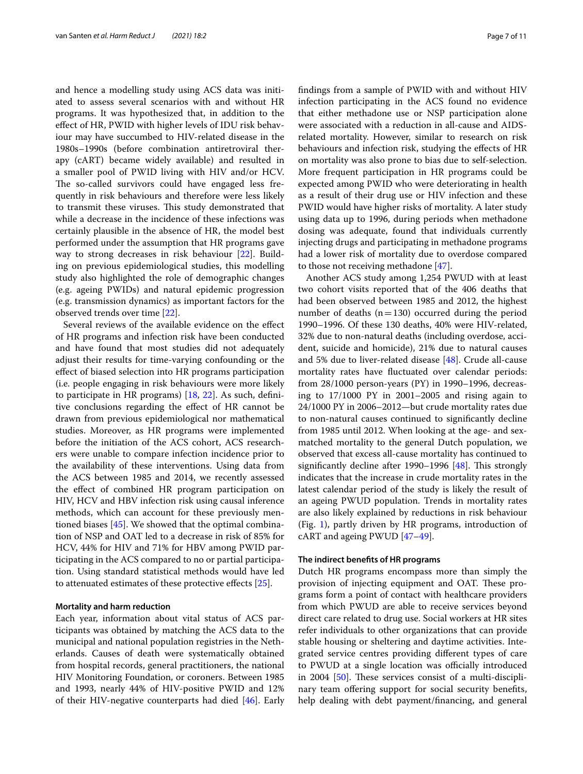and hence a modelling study using ACS data was initiated to assess several scenarios with and without HR programs. It was hypothesized that, in addition to the efect of HR, PWID with higher levels of IDU risk behaviour may have succumbed to HIV-related disease in the 1980s–1990s (before combination antiretroviral therapy (cART) became widely available) and resulted in a smaller pool of PWID living with HIV and/or HCV. The so-called survivors could have engaged less frequently in risk behaviours and therefore were less likely to transmit these viruses. This study demonstrated that while a decrease in the incidence of these infections was certainly plausible in the absence of HR, the model best performed under the assumption that HR programs gave way to strong decreases in risk behaviour [\[22](#page-9-21)]. Building on previous epidemiological studies, this modelling study also highlighted the role of demographic changes (e.g. ageing PWIDs) and natural epidemic progression (e.g. transmission dynamics) as important factors for the observed trends over time [[22\]](#page-9-21).

Several reviews of the available evidence on the efect of HR programs and infection risk have been conducted and have found that most studies did not adequately adjust their results for time-varying confounding or the efect of biased selection into HR programs participation (i.e. people engaging in risk behaviours were more likely to participate in HR programs) [[18,](#page-9-17) [22\]](#page-9-21). As such, defnitive conclusions regarding the efect of HR cannot be drawn from previous epidemiological nor mathematical studies. Moreover, as HR programs were implemented before the initiation of the ACS cohort, ACS researchers were unable to compare infection incidence prior to the availability of these interventions. Using data from the ACS between 1985 and 2014, we recently assessed the efect of combined HR program participation on HIV, HCV and HBV infection risk using causal inference methods, which can account for these previously mentioned biases [[45\]](#page-10-17). We showed that the optimal combination of NSP and OAT led to a decrease in risk of 85% for HCV, 44% for HIV and 71% for HBV among PWID participating in the ACS compared to no or partial participation. Using standard statistical methods would have led to attenuated estimates of these protective efects [\[25](#page-9-24)].

#### **Mortality and harm reduction**

Each year, information about vital status of ACS participants was obtained by matching the ACS data to the municipal and national population registries in the Netherlands. Causes of death were systematically obtained from hospital records, general practitioners, the national HIV Monitoring Foundation, or coroners. Between 1985 and 1993, nearly 44% of HIV-positive PWID and 12% of their HIV-negative counterparts had died [[46](#page-10-18)]. Early fndings from a sample of PWID with and without HIV infection participating in the ACS found no evidence that either methadone use or NSP participation alone were associated with a reduction in all-cause and AIDSrelated mortality. However, similar to research on risk behaviours and infection risk, studying the efects of HR on mortality was also prone to bias due to self-selection. More frequent participation in HR programs could be expected among PWID who were deteriorating in health as a result of their drug use or HIV infection and these PWID would have higher risks of mortality. A later study using data up to 1996, during periods when methadone dosing was adequate, found that individuals currently injecting drugs and participating in methadone programs had a lower risk of mortality due to overdose compared to those not receiving methadone [\[47\]](#page-10-19).

Another ACS study among 1,254 PWUD with at least two cohort visits reported that of the 406 deaths that had been observed between 1985 and 2012, the highest number of deaths  $(n=130)$  occurred during the period 1990–1996. Of these 130 deaths, 40% were HIV-related, 32% due to non-natural deaths (including overdose, accident, suicide and homicide), 21% due to natural causes and 5% due to liver-related disease [[48\]](#page-10-20). Crude all-cause mortality rates have fuctuated over calendar periods: from 28/1000 person-years (PY) in 1990–1996, decreasing to 17/1000 PY in 2001–2005 and rising again to 24/1000 PY in 2006–2012—but crude mortality rates due to non-natural causes continued to signifcantly decline from 1985 until 2012. When looking at the age- and sexmatched mortality to the general Dutch population, we observed that excess all-cause mortality has continued to significantly decline after 1990–1996  $[48]$  $[48]$ . This strongly indicates that the increase in crude mortality rates in the latest calendar period of the study is likely the result of an ageing PWUD population. Trends in mortality rates are also likely explained by reductions in risk behaviour (Fig. [1](#page-3-0)), partly driven by HR programs, introduction of cART and ageing PWUD [[47–](#page-10-19)[49](#page-10-21)].

#### **The indirect benefts of HR programs**

Dutch HR programs encompass more than simply the provision of injecting equipment and OAT. These programs form a point of contact with healthcare providers from which PWUD are able to receive services beyond direct care related to drug use. Social workers at HR sites refer individuals to other organizations that can provide stable housing or sheltering and daytime activities. Integrated service centres providing diferent types of care to PWUD at a single location was officially introduced in 2004  $[50]$  $[50]$ . These services consist of a multi-disciplinary team offering support for social security benefits, help dealing with debt payment/fnancing, and general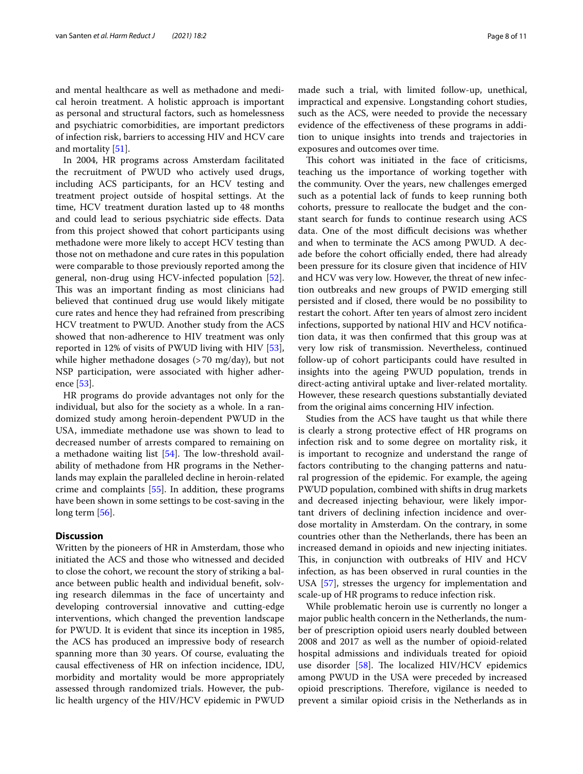and mental healthcare as well as methadone and medical heroin treatment. A holistic approach is important as personal and structural factors, such as homelessness and psychiatric comorbidities, are important predictors of infection risk, barriers to accessing HIV and HCV care and mortality [[51](#page-10-23)].

In 2004, HR programs across Amsterdam facilitated the recruitment of PWUD who actively used drugs, including ACS participants, for an HCV testing and treatment project outside of hospital settings. At the time, HCV treatment duration lasted up to 48 months and could lead to serious psychiatric side efects. Data from this project showed that cohort participants using methadone were more likely to accept HCV testing than those not on methadone and cure rates in this population were comparable to those previously reported among the general, non-drug using HCV-infected population [\[52](#page-10-24)]. This was an important finding as most clinicians had believed that continued drug use would likely mitigate cure rates and hence they had refrained from prescribing HCV treatment to PWUD. Another study from the ACS showed that non-adherence to HIV treatment was only reported in 12% of visits of PWUD living with HIV [\[53](#page-10-25)], while higher methadone dosages (>70 mg/day), but not NSP participation, were associated with higher adherence [[53\]](#page-10-25).

HR programs do provide advantages not only for the individual, but also for the society as a whole. In a randomized study among heroin-dependent PWUD in the USA, immediate methadone use was shown to lead to decreased number of arrests compared to remaining on a methadone waiting list  $[54]$  $[54]$  $[54]$ . The low-threshold availability of methadone from HR programs in the Netherlands may explain the paralleled decline in heroin-related crime and complaints [[55\]](#page-10-27). In addition, these programs have been shown in some settings to be cost-saving in the long term [\[56\]](#page-10-28).

#### **Discussion**

Written by the pioneers of HR in Amsterdam, those who initiated the ACS and those who witnessed and decided to close the cohort, we recount the story of striking a balance between public health and individual beneft, solving research dilemmas in the face of uncertainty and developing controversial innovative and cutting-edge interventions, which changed the prevention landscape for PWUD. It is evident that since its inception in 1985, the ACS has produced an impressive body of research spanning more than 30 years. Of course, evaluating the causal efectiveness of HR on infection incidence, IDU, morbidity and mortality would be more appropriately assessed through randomized trials. However, the public health urgency of the HIV/HCV epidemic in PWUD

made such a trial, with limited follow-up, unethical, impractical and expensive. Longstanding cohort studies, such as the ACS, were needed to provide the necessary evidence of the efectiveness of these programs in addition to unique insights into trends and trajectories in exposures and outcomes over time.

This cohort was initiated in the face of criticisms, teaching us the importance of working together with the community. Over the years, new challenges emerged such as a potential lack of funds to keep running both cohorts, pressure to reallocate the budget and the constant search for funds to continue research using ACS data. One of the most difficult decisions was whether and when to terminate the ACS among PWUD. A decade before the cohort officially ended, there had already been pressure for its closure given that incidence of HIV and HCV was very low. However, the threat of new infection outbreaks and new groups of PWID emerging still persisted and if closed, there would be no possibility to restart the cohort. After ten years of almost zero incident infections, supported by national HIV and HCV notifcation data, it was then confrmed that this group was at very low risk of transmission. Nevertheless, continued follow-up of cohort participants could have resulted in insights into the ageing PWUD population, trends in direct-acting antiviral uptake and liver-related mortality. However, these research questions substantially deviated from the original aims concerning HIV infection.

Studies from the ACS have taught us that while there is clearly a strong protective efect of HR programs on infection risk and to some degree on mortality risk, it is important to recognize and understand the range of factors contributing to the changing patterns and natural progression of the epidemic. For example, the ageing PWUD population, combined with shifts in drug markets and decreased injecting behaviour, were likely important drivers of declining infection incidence and overdose mortality in Amsterdam. On the contrary, in some countries other than the Netherlands, there has been an increased demand in opioids and new injecting initiates. This, in conjunction with outbreaks of HIV and HCV infection, as has been observed in rural counties in the USA [[57\]](#page-10-29), stresses the urgency for implementation and scale-up of HR programs to reduce infection risk.

While problematic heroin use is currently no longer a major public health concern in the Netherlands, the number of prescription opioid users nearly doubled between 2008 and 2017 as well as the number of opioid-related hospital admissions and individuals treated for opioid use disorder  $[58]$  $[58]$ . The localized HIV/HCV epidemics among PWUD in the USA were preceded by increased opioid prescriptions. Therefore, vigilance is needed to prevent a similar opioid crisis in the Netherlands as in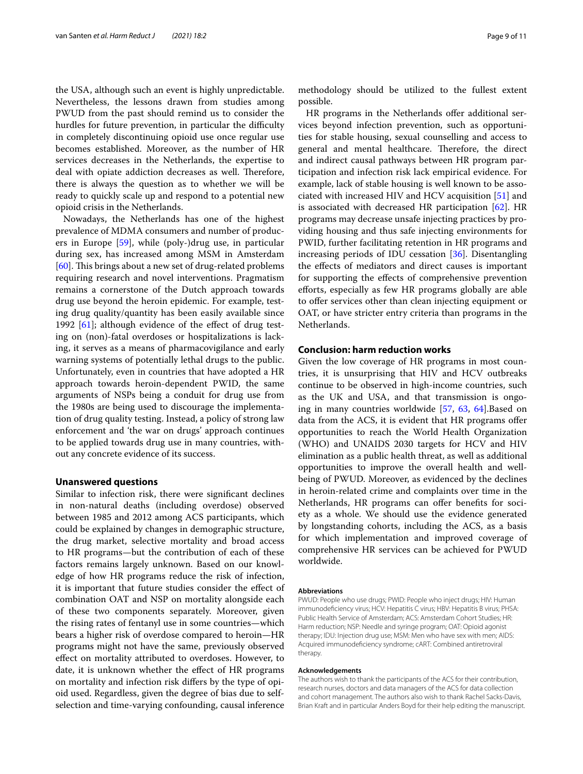the USA, although such an event is highly unpredictable. Nevertheless, the lessons drawn from studies among PWUD from the past should remind us to consider the hurdles for future prevention, in particular the difficulty in completely discontinuing opioid use once regular use becomes established. Moreover, as the number of HR services decreases in the Netherlands, the expertise to deal with opiate addiction decreases as well. Therefore, there is always the question as to whether we will be ready to quickly scale up and respond to a potential new opioid crisis in the Netherlands.

Nowadays, the Netherlands has one of the highest prevalence of MDMA consumers and number of producers in Europe [[59\]](#page-10-31), while (poly-)drug use, in particular during sex, has increased among MSM in Amsterdam [[60\]](#page-10-32). This brings about a new set of drug-related problems requiring research and novel interventions. Pragmatism remains a cornerstone of the Dutch approach towards drug use beyond the heroin epidemic. For example, testing drug quality/quantity has been easily available since 1992  $[61]$  $[61]$ ; although evidence of the effect of drug testing on (non)-fatal overdoses or hospitalizations is lacking, it serves as a means of pharmacovigilance and early warning systems of potentially lethal drugs to the public. Unfortunately, even in countries that have adopted a HR approach towards heroin-dependent PWID, the same arguments of NSPs being a conduit for drug use from the 1980s are being used to discourage the implementation of drug quality testing. Instead, a policy of strong law enforcement and 'the war on drugs' approach continues to be applied towards drug use in many countries, without any concrete evidence of its success.

#### **Unanswered questions**

Similar to infection risk, there were signifcant declines in non-natural deaths (including overdose) observed between 1985 and 2012 among ACS participants, which could be explained by changes in demographic structure, the drug market, selective mortality and broad access to HR programs—but the contribution of each of these factors remains largely unknown. Based on our knowledge of how HR programs reduce the risk of infection, it is important that future studies consider the efect of combination OAT and NSP on mortality alongside each of these two components separately. Moreover, given the rising rates of fentanyl use in some countries—which bears a higher risk of overdose compared to heroin—HR programs might not have the same, previously observed efect on mortality attributed to overdoses. However, to date, it is unknown whether the efect of HR programs on mortality and infection risk difers by the type of opioid used. Regardless, given the degree of bias due to selfselection and time-varying confounding, causal inference

methodology should be utilized to the fullest extent possible.

HR programs in the Netherlands offer additional services beyond infection prevention, such as opportunities for stable housing, sexual counselling and access to general and mental healthcare. Therefore, the direct and indirect causal pathways between HR program participation and infection risk lack empirical evidence. For example, lack of stable housing is well known to be associated with increased HIV and HCV acquisition [[51\]](#page-10-23) and is associated with decreased HR participation [[62\]](#page-10-34). HR programs may decrease unsafe injecting practices by providing housing and thus safe injecting environments for PWID, further facilitating retention in HR programs and increasing periods of IDU cessation [[36](#page-10-9)]. Disentangling the efects of mediators and direct causes is important for supporting the efects of comprehensive prevention eforts, especially as few HR programs globally are able to offer services other than clean injecting equipment or OAT, or have stricter entry criteria than programs in the Netherlands.

#### **Conclusion: harm reduction works**

Given the low coverage of HR programs in most countries, it is unsurprising that HIV and HCV outbreaks continue to be observed in high-income countries, such as the UK and USA, and that transmission is ongoing in many countries worldwide [\[57](#page-10-29), [63](#page-10-35), [64](#page-10-36)].Based on data from the ACS, it is evident that HR programs ofer opportunities to reach the World Health Organization (WHO) and UNAIDS 2030 targets for HCV and HIV elimination as a public health threat, as well as additional opportunities to improve the overall health and wellbeing of PWUD. Moreover, as evidenced by the declines in heroin-related crime and complaints over time in the Netherlands, HR programs can offer benefits for society as a whole. We should use the evidence generated by longstanding cohorts, including the ACS, as a basis for which implementation and improved coverage of comprehensive HR services can be achieved for PWUD worldwide.

#### **Abbreviations**

PWUD: People who use drugs; PWID: People who inject drugs; HIV: Human immunodefciency virus; HCV: Hepatitis C virus; HBV: Hepatitis B virus; PHSA: Public Health Service of Amsterdam; ACS: Amsterdam Cohort Studies; HR: Harm reduction; NSP: Needle and syringe program; OAT: Opioid agonist therapy; IDU: Injection drug use; MSM: Men who have sex with men; AIDS: Acquired immunodefciency syndrome; cART: Combined antiretroviral therapy.

#### **Acknowledgements**

The authors wish to thank the participants of the ACS for their contribution, research nurses, doctors and data managers of the ACS for data collection and cohort management. The authors also wish to thank Rachel Sacks-Davis, Brian Kraft and in particular Anders Boyd for their help editing the manuscript.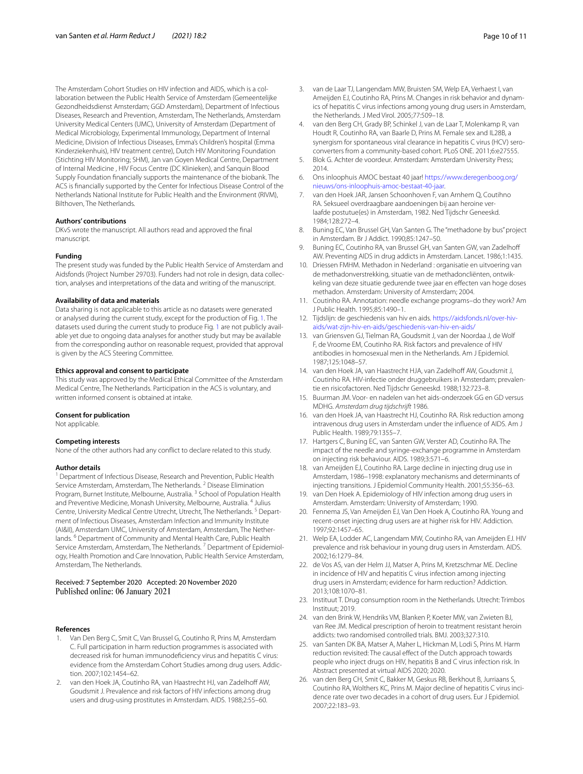The Amsterdam Cohort Studies on HIV infection and AIDS, which is a collaboration between the Public Health Service of Amsterdam (Gemeentelijke Gezondheidsdienst Amsterdam; GGD Amsterdam), Department of Infectious Diseases, Research and Prevention, Amsterdam, The Netherlands, Amsterdam University Medical Centers (UMC), University of Amsterdam (Department of Medical Microbiology, Experimental Immunology, Department of Internal Medicine, Division of Infectious Diseases, Emma's Children's hospital (Emma Kinderziekenhuis), HIV treatment centre), Dutch HIV Monitoring Foundation (Stichting HIV Monitoring; SHM), Jan van Goyen Medical Centre, Department of Internal Medicine , HIV Focus Centre (DC Klinieken), and Sanquin Blood Supply Foundation fnancially supports the maintenance of the biobank. The ACS is fnancially supported by the Center for Infectious Disease Control of the Netherlands National Institute for Public Health and the Environment (RIVM), Bilthoven, The Netherlands.

#### **Authors' contributions**

DKvS wrote the manuscript. All authors read and approved the fnal manuscript.

#### **Funding**

The present study was funded by the Public Health Service of Amsterdam and Aidsfonds (Project Number 29703). Funders had not role in design, data collection, analyses and interpretations of the data and writing of the manuscript.

#### **Availability of data and materials**

Data sharing is not applicable to this article as no datasets were generated or analysed during the current study, except for the production of Fig. [1.](#page-3-0) The datasets used during the current study to produce Fig. [1](#page-3-0) are not publicly available yet due to ongoing data analyses for another study but may be available from the corresponding author on reasonable request, provided that approval is given by the ACS Steering Committee.

#### **Ethics approval and consent to participate**

This study was approved by the Medical Ethical Committee of the Amsterdam Medical Centre, The Netherlands. Participation in the ACS is voluntary, and written informed consent is obtained at intake.

#### **Consent for publication**

Not applicable.

#### **Competing interests**

None of the other authors had any confict to declare related to this study.

#### **Author details**

<sup>1</sup> Department of Infectious Disease, Research and Prevention, Public Health Service Amsterdam, Amsterdam, The Netherlands. <sup>2</sup> Disease Elimination Program, Burnet Institute, Melbourne, Australia.<sup>3</sup> School of Population Health and Preventive Medicine, Monash University, Melbourne, Australia. 4 Julius Centre, University Medical Centre Utrecht, Utrecht, The Netherlands. 5 Department of Infectious Diseases, Amsterdam Infection and Immunity Institute (AI&II), Amsterdam UMC, University of Amsterdam, Amsterdam, The Netherlands. 6 Department of Community and Mental Health Care, Public Health Service Amsterdam, Amsterdam, The Netherlands.<sup>7</sup> Department of Epidemiology, Health Promotion and Care Innovation, Public Health Service Amsterdam, Amsterdam, The Netherlands.

# Received: 7 September 2020 Accepted: 20 November 2020

#### **References**

- <span id="page-9-0"></span>Van Den Berg C, Smit C, Van Brussel G, Coutinho R, Prins M, Amsterdam C. Full participation in harm reduction programmes is associated with decreased risk for human immunodefciency virus and hepatitis C virus: evidence from the Amsterdam Cohort Studies among drug users. Addiction. 2007;102:1454–62.
- <span id="page-9-1"></span>2. van den Hoek JA, Coutinho RA, van Haastrecht HJ, van Zadelhoff AW, Goudsmit J. Prevalence and risk factors of HIV infections among drug users and drug-using prostitutes in Amsterdam. AIDS. 1988;2:55–60.
- <span id="page-9-2"></span>3. van de Laar TJ, Langendam MW, Bruisten SM, Welp EA, Verhaest I, van Ameijden EJ, Coutinho RA, Prins M. Changes in risk behavior and dynamics of hepatitis C virus infections among young drug users in Amsterdam, the Netherlands. J Med Virol. 2005;77:509–18.
- <span id="page-9-3"></span>4. van den Berg CH, Grady BP, Schinkel J, van de Laar T, Molenkamp R, van Houdt R, Coutinho RA, van Baarle D, Prins M. Female sex and IL28B, a synergism for spontaneous viral clearance in hepatitis C virus (HCV) seroconverters from a community-based cohort. PLoS ONE. 2011;6:e27555.
- <span id="page-9-4"></span>5. Blok G. Achter de voordeur. Amsterdam: Amsterdam University Press; 2014.
- <span id="page-9-5"></span>6. Ons inloophuis AMOC bestaat 40 jaar! [https://www.deregenboog.org/](https://www.deregenboog.org/nieuws/ons-inloophuis-amoc-bestaat-40-jaar) [nieuws/ons-inloophuis-amoc-bestaat-40-jaar.](https://www.deregenboog.org/nieuws/ons-inloophuis-amoc-bestaat-40-jaar)
- <span id="page-9-6"></span>7. van den Hoek JAR, Jansen Schoonhoven F, van Arnhem Q, Coutihno RA. Seksueel overdraagbare aandoeningen bij aan heroine verlaafde postutue(es) in Amsterdam, 1982. Ned Tijdschr Geneeskd. 1984;128:272–4.
- <span id="page-9-7"></span>8. Buning EC, Van Brussel GH, Van Santen G. The "methadone by bus" project in Amsterdam. Br J Addict. 1990;85:1247–50.
- <span id="page-9-8"></span>9. Buning EC, Coutinho RA, van Brussel GH, van Santen GW, van Zadelhof AW. Preventing AIDS in drug addicts in Amsterdam. Lancet. 1986;1:1435.
- <span id="page-9-9"></span>10. Driessen FMHM. Methadon in Nederland : organisatie en uitvoering van de methadonverstrekking, situatie van de methadoncliënten, ontwikkeling van deze situatie gedurende twee jaar en efecten van hoge doses methadon. Amsterdam: University of Amsterdam; 2004.
- <span id="page-9-10"></span>11. Coutinho RA. Annotation: needle exchange programs–do they work? Am J Public Health. 1995;85:1490–1.
- <span id="page-9-11"></span>12. Tijdslijn: de geschiedenis van hiv en aids. [https://aidsfonds.nl/over-hiv](https://aidsfonds.nl/over-hiv-aids/wat-zijn-hiv-en-aids/geschiedenis-van-hiv-en-aids/)[aids/wat-zijn-hiv-en-aids/geschiedenis-van-hiv-en-aids/](https://aidsfonds.nl/over-hiv-aids/wat-zijn-hiv-en-aids/geschiedenis-van-hiv-en-aids/)
- <span id="page-9-12"></span>13. van Griensven GJ, Tielman RA, Goudsmit J, van der Noordaa J, de Wolf F, de Vroome EM, Coutinho RA. Risk factors and prevalence of HIV antibodies in homosexual men in the Netherlands. Am J Epidemiol. 1987;125:1048–57.
- <span id="page-9-13"></span>14. van den Hoek JA, van Haastrecht HJA, van Zadelhoff AW, Goudsmit J, Coutinho RA. HIV-infectie onder druggebruikers in Amsterdam; prevalentie en risicofactoren. Ned Tijdschr Geneeskd. 1988;132:723–8.
- <span id="page-9-14"></span>15. Buurman JM. Voor- en nadelen van het aids-onderzoek GG en GD versus MDHG. *Amsterdam drug tijdschrijft* 1986.
- <span id="page-9-15"></span>16. van den Hoek JA, van Haastrecht HJ, Coutinho RA. Risk reduction among intravenous drug users in Amsterdam under the infuence of AIDS. Am J Public Health. 1989;79:1355–7.
- <span id="page-9-16"></span>17. Hartgers C, Buning EC, van Santen GW, Verster AD, Coutinho RA. The impact of the needle and syringe-exchange programme in Amsterdam on injecting risk behaviour. AIDS. 1989;3:571–6.
- <span id="page-9-17"></span>18. van Ameijden EJ, Coutinho RA. Large decline in injecting drug use in Amsterdam, 1986–1998: explanatory mechanisms and determinants of injecting transitions. J Epidemiol Community Health. 2001;55:356–63.
- <span id="page-9-18"></span>19. van Den Hoek A. Epidemiology of HIV infection among drug users in Amsterdam. Amsterdam: University of Amsterdam; 1990.
- <span id="page-9-19"></span>20. Fennema JS, Van Ameijden EJ, Van Den Hoek A, Coutinho RA. Young and recent-onset injecting drug users are at higher risk for HIV. Addiction. 1997;92:1457–65.
- <span id="page-9-20"></span>21. Welp EA, Lodder AC, Langendam MW, Coutinho RA, van Ameijden EJ. HIV prevalence and risk behaviour in young drug users in Amsterdam. AIDS. 2002;16:1279–84.
- <span id="page-9-21"></span>22. de Vos AS, van der Helm JJ, Matser A, Prins M, Kretzschmar ME. Decline in incidence of HIV and hepatitis C virus infection among injecting drug users in Amsterdam; evidence for harm reduction? Addiction. 2013;108:1070–81.
- <span id="page-9-22"></span>23. Instituut T. Drug consumption room in the Netherlands. Utrecht: Trimbos Instituut; 2019.
- <span id="page-9-23"></span>24. van den Brink W, Hendriks VM, Blanken P, Koeter MW, van Zwieten BJ, van Ree JM. Medical prescription of heroin to treatment resistant heroin addicts: two randomised controlled trials. BMJ. 2003;327:310.
- <span id="page-9-24"></span>25. van Santen DK BA, Matser A, Maher L, Hickman M, Lodi S, Prins M. Harm reduction revisited: The causal effect of the Dutch approach towards people who inject drugs on HIV, hepatitis B and C virus infection risk. In Abstract presented at virtual AIDS 2020; 2020.
- 26. van den Berg CH, Smit C, Bakker M, Geskus RB, Berkhout B, Jurriaans S, Coutinho RA, Wolthers KC, Prins M. Major decline of hepatitis C virus incidence rate over two decades in a cohort of drug users. Eur J Epidemiol. 2007;22:183–93.